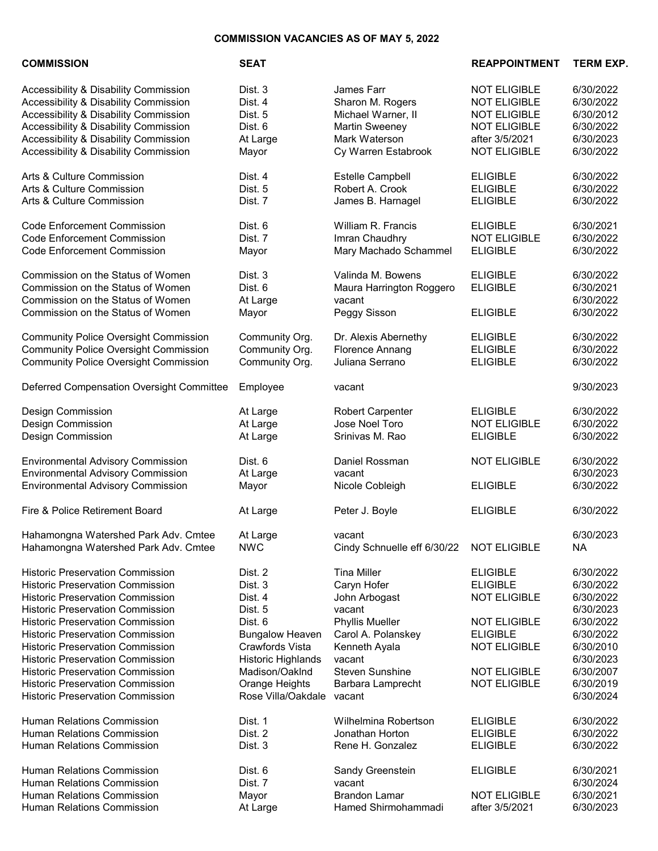## COMMISSION VACANCIES AS OF MAY 5, 2022

|  |  | <b>COMMISSION</b> |  |
|--|--|-------------------|--|
|  |  |                   |  |

SEAT SEAT SEAR REAPPOINTMENT TERM EXP. Accessibility & Disability Commission Dist. 3 James Farr NOT ELIGIBLE 6/30/2022 Accessibility & Disability Commission Dist. 4 Sharon M. Rogers NOT ELIGIBLE 6/30/2022 Accessibility & Disability Commission Dist. 5 Michael Warner, II NOT ELIGIBLE 6/30/2012 Accessibility & Disability Commission Dist. 6 Martin Sweeney NOT ELIGIBLE 6/30/2022 Accessibility & Disability Commission At Large Mark Waterson after 3/5/2021 6/30/2023 Accessibility & Disability Commission Mayor Cy Warren Estabrook NOT ELIGIBLE 6/30/2022 Arts & Culture Commission **Dist. 4** Estelle Campbell **ELIGIBLE** 6/30/2022 Arts & Culture Commission Dist. 5 Robert A. Crook ELIGIBLE 6/30/2022 Arts & Culture Commission **Dist. 7** Dist. 7 James B. Harnagel **ELIGIBLE** 6/30/2022 Code Enforcement Commission Dist. 6 William R. Francis ELIGIBLE 6/30/2021 Code Enforcement Commission Dist. 7 Imran Chaudhry NOT ELIGIBLE 6/30/2022 Code Enforcement Commission Mayor Mary Machado Schammel ELIGIBLE 6/30/2022 Commission on the Status of Women Dist. 3 Valinda M. Bowens ELIGIBLE 6/30/2022 Commission on the Status of Women Dist. 6 Maura Harrington Roggero ELIGIBLE 6/30/2021 Commission on the Status of Women At Large vacant vacant<br>Commission on the Status of Women Mayor Peggy Sisson ELIGIBLE 6/30/2022 Commission on the Status of Women Mayor Peggy Sisson ELIGIBLE 6/30/2022 Community Police Oversight Commission Community Org. Dr. Alexis Abernethy ELIGIBLE 6/30/2022<br>Community Police Oversight Commission Community Org. Florence Annang ELIGIBLE 6/30/2022 Community Police Oversight Commission Community Org. Florence Annang ELIGIBLE 6/30/2022 Community Police Oversight Commission Community Org. Juliana Serrano ELIGIBLE 6/30/2022 Deferred Compensation Oversight Committee Employee vacant 9/30/2023 Design Commission At Large Robert Carpenter ELIGIBLE 6/30/2022 Design Commission At Large Jose Noel Toro NOT ELIGIBLE 6/30/2022 Design Commission At Large Srinivas M. Rao ELIGIBLE 6/30/2022 Environmental Advisory Commission Dist. 6 Daniel Rossman NOT ELIGIBLE 6/30/2022 Environmental Advisory Commission At Large vacant 6/30/2023 Environmental Advisory Commission Mayor Nicole Cobleigh ELIGIBLE 6/30/2022 Fire & Police Retirement Board **At Large At Large Constant At Large Accord Peter J. Boyle Peter J. Boyle** ELIGIBLE 6/30/2022 Hahamongna Watershed Park Adv. Cmtee At Large vacant vacant 6/30/2023 Hahamongna Watershed Park Adv. Cmtee NWC Cindy Schnuelle eff 6/30/22 NOT ELIGIBLE NA Historic Preservation Commission Dist. 2 Tina Miller ELIGIBLE 6/30/2022 Historic Preservation Commission Dist. 3 Caryn Hofer ELIGIBLE 6/30/2022 Historic Preservation Commission Dist. 4 John Arbogast NOT ELIGIBLE 6/30/2022 Historic Preservation Commission Dist. 5 vacant 6/30/2023<br>Historic Preservation Commission Dist. 6 Phyllis Mueller NOT ELIGIBLE 6/30/2022 Historic Preservation Commission Dist. 6 Phyllis Mueller NOT ELIGIBLE 6/30/2022 Historic Preservation Commission Bungalow Heaven Carol A. Polanskey ELIGIBLE 6/30/2022 Historic Preservation Commission Crawfords Vista Kenneth Ayala NOT ELIGIBLE 6/30/2010 Historic Preservation Commission Historic Highlands vacant 6/30/2023 Historic Preservation Commission Madison/Oaklnd Steven Sunshine NOT ELIGIBLE 6/30/2007 Historic Preservation Commission Orange Heights Barbara Lamprecht NOT ELIGIBLE 6/30/2019 Historic Preservation Commission **Rose Villa/Oakdale vacant** 6/30/2024 Human Relations Commission Dist. 1 Wilhelmina Robertson ELIGIBLE 6/30/2022 Human Relations Commission

Human Relations Commission **Dist. 6** Dist. 6 Human Relations Commission **Dist. 7** Human Relations Commission Mayor Human Relations Commission At Large

Human Relations Commission **Dist. 3** 

| Jonathan Horton            | <b>ELIGIBLE</b>     | 6/30/2022              |
|----------------------------|---------------------|------------------------|
| Rene H. Gonzalez           | <b>ELIGIBLE</b>     | 6/30/2022              |
| Sandy Greenstein<br>vacant | <b>ELIGIBLE</b>     | 6/30/2021<br>6/30/2024 |
| <b>Brandon Lamar</b>       | <b>NOT ELIGIBLE</b> | 6/30/2021              |
| Hamed Shirmohammadi        | after 3/5/2021      | 6/30/2023              |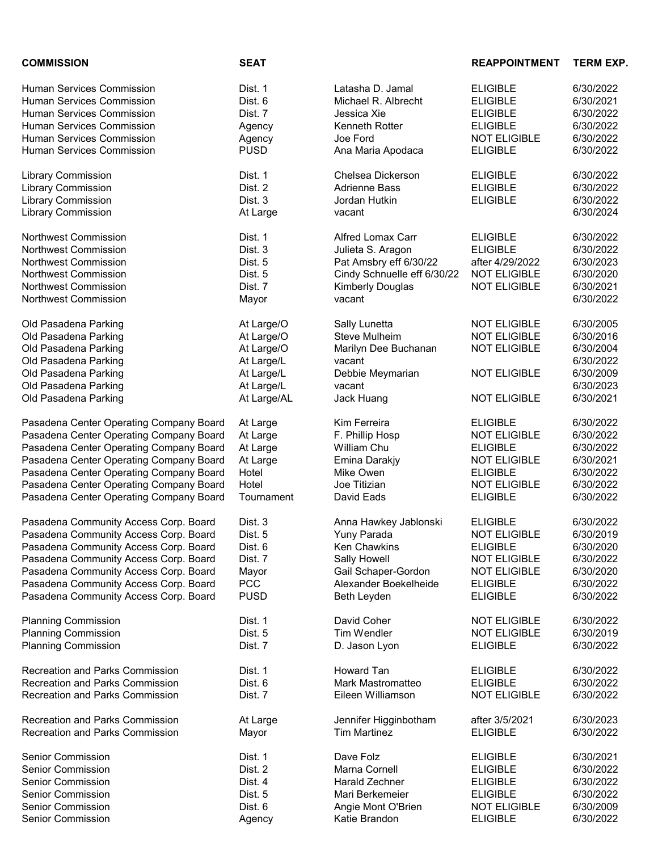| <b>COMMISSION</b>                       | <b>SEAT</b> |                             | <b>REAPPOINTMENT</b> | <b>TERM EXP.</b> |
|-----------------------------------------|-------------|-----------------------------|----------------------|------------------|
| Human Services Commission               | Dist. 1     | Latasha D. Jamal            | <b>ELIGIBLE</b>      | 6/30/2022        |
| <b>Human Services Commission</b>        | Dist. 6     | Michael R. Albrecht         | <b>ELIGIBLE</b>      | 6/30/2021        |
| <b>Human Services Commission</b>        | Dist. 7     | Jessica Xie                 | <b>ELIGIBLE</b>      | 6/30/2022        |
| Human Services Commission               | Agency      | Kenneth Rotter              | <b>ELIGIBLE</b>      | 6/30/2022        |
| Human Services Commission               | Agency      | Joe Ford                    | <b>NOT ELIGIBLE</b>  | 6/30/2022        |
| Human Services Commission               | <b>PUSD</b> | Ana Maria Apodaca           | <b>ELIGIBLE</b>      | 6/30/2022        |
| Library Commission                      | Dist. 1     | Chelsea Dickerson           | <b>ELIGIBLE</b>      | 6/30/2022        |
| <b>Library Commission</b>               | Dist. 2     | <b>Adrienne Bass</b>        | <b>ELIGIBLE</b>      | 6/30/2022        |
| <b>Library Commission</b>               | Dist. 3     | Jordan Hutkin               | <b>ELIGIBLE</b>      | 6/30/2022        |
|                                         |             |                             |                      |                  |
| <b>Library Commission</b>               | At Large    | vacant                      |                      | 6/30/2024        |
| Northwest Commission                    | Dist. 1     | <b>Alfred Lomax Carr</b>    | <b>ELIGIBLE</b>      | 6/30/2022        |
| Northwest Commission                    | Dist. 3     | Julieta S. Aragon           | <b>ELIGIBLE</b>      | 6/30/2022        |
| Northwest Commission                    | Dist. 5     | Pat Amsbry eff 6/30/22      | after 4/29/2022      | 6/30/2023        |
| Northwest Commission                    | Dist. 5     | Cindy Schnuelle eff 6/30/22 | <b>NOT ELIGIBLE</b>  | 6/30/2020        |
| Northwest Commission                    | Dist. 7     | <b>Kimberly Douglas</b>     | <b>NOT ELIGIBLE</b>  | 6/30/2021        |
| Northwest Commission                    | Mayor       | vacant                      |                      | 6/30/2022        |
| Old Pasadena Parking                    | At Large/O  | Sally Lunetta               | <b>NOT ELIGIBLE</b>  | 6/30/2005        |
| Old Pasadena Parking                    | At Large/O  | Steve Mulheim               | <b>NOT ELIGIBLE</b>  | 6/30/2016        |
| Old Pasadena Parking                    | At Large/O  | Marilyn Dee Buchanan        | <b>NOT ELIGIBLE</b>  | 6/30/2004        |
| Old Pasadena Parking                    | At Large/L  | vacant                      |                      | 6/30/2022        |
| Old Pasadena Parking                    | At Large/L  | Debbie Meymarian            | <b>NOT ELIGIBLE</b>  | 6/30/2009        |
| Old Pasadena Parking                    | At Large/L  | vacant                      |                      | 6/30/2023        |
| Old Pasadena Parking                    | At Large/AL | Jack Huang                  | <b>NOT ELIGIBLE</b>  | 6/30/2021        |
| Pasadena Center Operating Company Board |             | Kim Ferreira                | <b>ELIGIBLE</b>      | 6/30/2022        |
| Pasadena Center Operating Company Board | At Large    | F. Phillip Hosp             | <b>NOT ELIGIBLE</b>  | 6/30/2022        |
|                                         | At Large    |                             |                      |                  |
| Pasadena Center Operating Company Board | At Large    | William Chu                 | <b>ELIGIBLE</b>      | 6/30/2022        |
| Pasadena Center Operating Company Board | At Large    | Emina Darakjy               | <b>NOT ELIGIBLE</b>  | 6/30/2021        |
| Pasadena Center Operating Company Board | Hotel       | Mike Owen                   | <b>ELIGIBLE</b>      | 6/30/2022        |
| Pasadena Center Operating Company Board | Hotel       | Joe Titizian                | <b>NOT ELIGIBLE</b>  | 6/30/2022        |
| Pasadena Center Operating Company Board | Tournament  | David Eads                  | <b>ELIGIBLE</b>      | 6/30/2022        |
| Pasadena Community Access Corp. Board   | Dist. 3     | Anna Hawkey Jablonski       | <b>ELIGIBLE</b>      | 6/30/2022        |
| Pasadena Community Access Corp. Board   | Dist. 5     | Yuny Parada                 | <b>NOT ELIGIBLE</b>  | 6/30/2019        |
| Pasadena Community Access Corp. Board   | Dist. 6     | Ken Chawkins                | <b>ELIGIBLE</b>      | 6/30/2020        |
| Pasadena Community Access Corp. Board   | Dist. 7     | Sally Howell                | <b>NOT ELIGIBLE</b>  | 6/30/2022        |
| Pasadena Community Access Corp. Board   | Mayor       | Gail Schaper-Gordon         | <b>NOT ELIGIBLE</b>  | 6/30/2020        |
| Pasadena Community Access Corp. Board   | <b>PCC</b>  | Alexander Boekelheide       | <b>ELIGIBLE</b>      | 6/30/2022        |
| Pasadena Community Access Corp. Board   | <b>PUSD</b> | Beth Leyden                 | <b>ELIGIBLE</b>      | 6/30/2022        |
| <b>Planning Commission</b>              | Dist. 1     | David Coher                 | <b>NOT ELIGIBLE</b>  | 6/30/2022        |
| <b>Planning Commission</b>              | Dist. 5     | <b>Tim Wendler</b>          | <b>NOT ELIGIBLE</b>  | 6/30/2019        |
| <b>Planning Commission</b>              | Dist. 7     | D. Jason Lyon               | <b>ELIGIBLE</b>      | 6/30/2022        |
| <b>Recreation and Parks Commission</b>  | Dist. 1     | <b>Howard Tan</b>           | <b>ELIGIBLE</b>      | 6/30/2022        |
| <b>Recreation and Parks Commission</b>  | Dist. 6     | Mark Mastromatteo           | <b>ELIGIBLE</b>      | 6/30/2022        |
|                                         |             |                             |                      |                  |
| <b>Recreation and Parks Commission</b>  | Dist. 7     | Eileen Williamson           | <b>NOT ELIGIBLE</b>  | 6/30/2022        |
| <b>Recreation and Parks Commission</b>  | At Large    | Jennifer Higginbotham       | after 3/5/2021       | 6/30/2023        |
| Recreation and Parks Commission         | Mayor       | <b>Tim Martinez</b>         | <b>ELIGIBLE</b>      | 6/30/2022        |
| <b>Senior Commission</b>                | Dist. 1     | Dave Folz                   | <b>ELIGIBLE</b>      | 6/30/2021        |
| Senior Commission                       | Dist. 2     | Marna Cornell               | <b>ELIGIBLE</b>      | 6/30/2022        |
| <b>Senior Commission</b>                | Dist. 4     | Harald Zechner              | <b>ELIGIBLE</b>      | 6/30/2022        |
| <b>Senior Commission</b>                | Dist. 5     | Mari Berkemeier             | <b>ELIGIBLE</b>      | 6/30/2022        |
| <b>Senior Commission</b>                | Dist. 6     | Angie Mont O'Brien          | <b>NOT ELIGIBLE</b>  | 6/30/2009        |
| Senior Commission                       | Agency      | Katie Brandon               | <b>ELIGIBLE</b>      | 6/30/2022        |